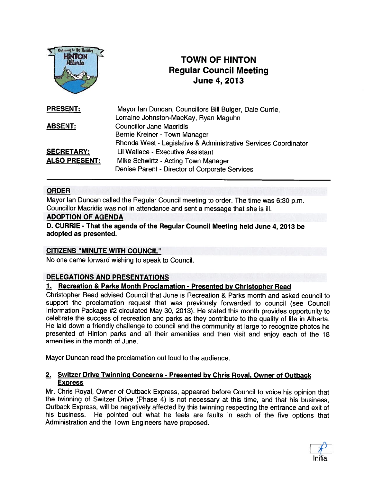

# TOWN OF HINTON Regular Council Meeting June 4,2013

| <b>PRESENT:</b>      | Mayor Ian Duncan, Councillors Bill Bulger, Dale Currie,         |
|----------------------|-----------------------------------------------------------------|
|                      | Lorraine Johnston-MacKay, Ryan Maguhn                           |
| <b>ABSENT:</b>       | <b>Councillor Jane Macridis</b>                                 |
|                      | Bernie Kreiner - Town Manager                                   |
|                      | Rhonda West - Legislative & Administrative Services Coordinator |
| <b>SECRETARY:</b>    | Lil Wallace - Executive Assistant                               |
| <b>ALSO PRESENT:</b> | Mike Schwirtz - Acting Town Manager                             |
|                      | Denise Parent - Director of Corporate Services                  |

# ORDER

Mayor Ian Duncan called the Regular Council meeting to order. The time was 6:30 p.m. Councillor Macridis was not in attendance and sent a message that she is ill.

### ADOPTION OF AGENDA

D. CURRIE - That the agenda of the Regular Council Meeting held June 4, 2013 be adopted as presented.

### CITIZENS "MINUTE WITH COUNCIL 1'

No one came forward wishing to speak to Council.

# DELEGATIONS AND PRESENTATIONS

# 1. Recreation & Parks Month Proclamation - Presented by Christopher Read

Christopher Read advised Council that June is Recreation & Parks month and asked council to suppor<sup>t</sup> the proclamation reques<sup>t</sup> that was previously forwarded to council (see Council Information Package #2 circulated May 30, 2013). He stated this month provides opportunity to celebrate the success of recreation and parks as they contribute to the quality of life in Alberta. He laid down <sup>a</sup> friendly challenge to council and the community at large to recognize <sup>p</sup>hotos he presented of Hinton parks and all their amenities and then visit and enjoy each of the <sup>18</sup> amenities in the month of June.

Mayor Duncan read the proclamation out loud to the audience.

### 2. Switzer Drive Twinning Concerns - Presented by Chris Royal. Owner of Outback Express

Mr. Chris Royal, Owner of Outback Express, appeare<sup>d</sup> before Council to voice his opinion that the twinning of Switzer Drive (Phase 4) is not necessary at this time, and that his business, Outback Express, will be negatively affected by this twinning respecting the entrance and exit of his business. He pointed out what he feels are faults in each of the five options that Administration and the Town Engineers have proposed.

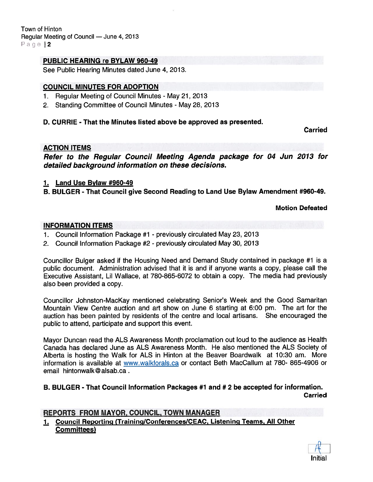Town of Hinton Regular Meeting of Council — June 4, 2013 Page 12

### PUBLIC HEARING re BYLAW 960-49

See Public Hearing Minutes dated June 4, 2013.

### COUNCIL MINUTES FOR ADOPTION

- 1. Regular Meeting of Council Minutes May 21, 2013
- 2. Standing Committee of Council Minutes May 28, 2013

### D. CURRIE -That the Minutes listed above be approved as presented.

Carried

### ACTION ITEMS

Refer to the Regular Council Meeting Agenda package for 04 Jun 2013 for detailed background information on these decisions.

### 1. Land Use Bylaw #960-49

B. BULGER - That Council give Second Reading to Land Use Bylaw Amendment #960-49.

Motion Defeated

### INFORMATION ITEMS

- 1. Council Information Package #1 previously circulated May 23, 2013
- 2. Council Information Package #2 previously circulated May 30, 2013

Councillor Bulger asked if the Housing Need and Demand Study contained in package #1 is <sup>a</sup> public document. Administration advised that it is and if anyone wants <sup>a</sup> copy, <sup>p</sup>lease call the Executive Assistant, Lil Wallace, at 780-865-6072 to obtain <sup>a</sup> copy. The media had previously also been provided <sup>a</sup> copy.

Councillor Johnston-MacKay mentioned celebrating Senior's Week and the Good Samaritan Mountain View Centre auction and art show on June 6 starting at 6:00 pm. The art for the auction has been painted by residents of the centre and local artisans. She encouraged the public to attend, participate and suppor<sup>t</sup> this event.

Mayor Duncan read the ALS Awareness Month proclamation out loud to the audience as Health Canada has declared June as ALS Awareness Month. He also mentioned the ALS Society of Alberta is hosting the Walk for ALS in Hinton at the Beaver Boardwalk at 10:30 am. More information is available at www.walkforals.ca or contact Beth MacCallum at 780- 865-4906 or email hintonwalk@alsab.ca.

B. BULGER - That Council Information Packages #1 and # 2 be accepted for information. Carried

# REPORTS FROM MAYOR, COUNCIL, TOWN MANAGER

1. Council Reporting (Training/Conferences/CEAC, Listening Teams, All Other Committees)

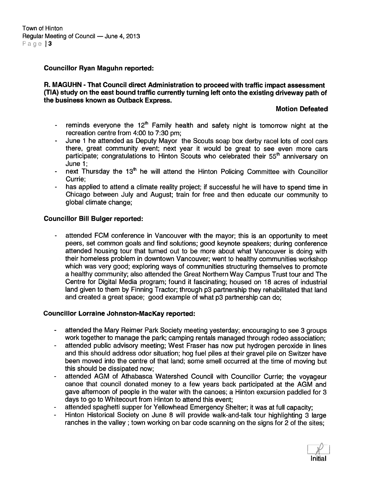Councillor Ryan Maguhn reported:

R. MAGUHN - That Council direct Administration to proceed with traffic impact assessment (TIA) study on the east bound traffic currently turning left onto the existing driveway path of the business known as Outback Express.

### Motion Defeated

- reminds everyone the  $12<sup>th</sup>$  Family health and safety night is tomorrow night at the recreation centre from 4:00 to 7:30 pm;
- June 1 he attended as Deputy Mayor the Scouts soap box derby racel lots of cool cars there, grea<sup>t</sup> community event; next year it would be grea<sup>t</sup> to see even more cars participate; congratulations to Hinton Scouts who celebrated their 55<sup>th</sup> anniversary on June 1;
- next Thursday the  $13<sup>th</sup>$  he will attend the Hinton Policing Committee with Councillor Currie;
- has applied to attend <sup>a</sup> climate reality project; if successful he will have to spend time in Chicago between July and August; train for free and then educate our community to global climate change;

### Councillor Bill Bulger reported:

 attended FCM conference in Vancouver with the mayor; this is an opportunity to meet peers, set common goals and find solutions; good keynote speakers: during conference attended housing tour that turned out to be more about what Vancouver is doing with their homeless problem in downtown Vancouver; went to healthy communities workshop which was very good; exploring ways of communities structuring themselves to promote <sup>a</sup> healthy community; also attended the Great Northern Way Campus Trust tour and The Centre for Digital Media program; found it fascinating; housed on 18 acres of industrial land <sup>g</sup>iven to them by Finning Tractor; through <sup>p</sup>3 partnership they rehabilitated that land and created <sup>a</sup> grea<sup>t</sup> space; good example of what p3 partnership can do;

#### Councillor Lorraine Johnston-Mackay reported:

- attended the Mary Reimer Park Society meeting yesterday; encouraging to see 3 groups work together to manage the park; camping rentals managed through rodeo association;
- attended public advisory meeting; West Fraser has now pu<sup>t</sup> hydrogen peroxide in lines and this should address odor situation; hog fuel <sup>p</sup>iles at their gravel <sup>p</sup>ile on Switzer have been moved into the centre of that land; some smell occurred at the time of moving but this should be dissipated now;
- attended AGM of Athabasca Watershed Council with Councillor Currie; the voyageur canoe that council donated money to <sup>a</sup> few years back participated at the AGM and gave afternoon of people in the water with the canoes; <sup>a</sup> Hinton excursion paddled for 3 days to go to Whitecourt from Hinton to attend this event;
- attended spaghetti supper for Yellowhead Emergency Shelter; it was at full capacity;
- Hinton Historical Society on June 8 will provide walk-and-talk tour highlighting 3 large ranches in the valley ; town working on bar code scanning on the signs for <sup>2</sup> of the sites;

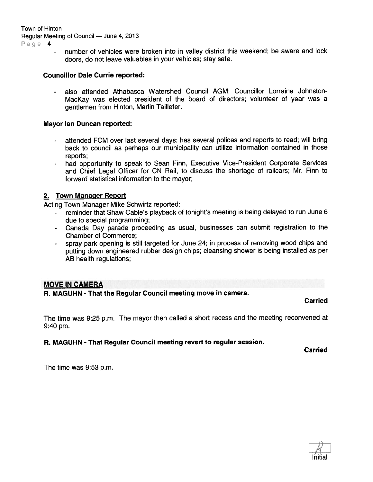Town of Hinton Regular Meeting of Council — June 4, 2013

- Page | 4
- number of vehicles were broken into in valley district this weekend: be aware and lock doors, do not leave valuables in your vehicles; stay sate.

#### Councillor Dale Currie reported:

 also attended Athabasca Watershed Council AGM; Councillor Lorraine Johnston MacKay was elected president of the board of directors; volunteer of year was <sup>a</sup> gentlemen from Hinton, Marlin Taillefer.

### Mayor Ian Duncan reported:

- attended FCM over last several days; has several polices and reports to read; will bring back to council as perhaps our municipality can utilize information contained in those reports;
- had opportunity to spea<sup>k</sup> to Sean Finn, Executive Vice-President Corporate Services and Chief Legal Officer for CN Rail, to discuss the shortage of railcars; Mr. Finn to forward statistical information to the mayor;

### 2. Town Manager Report

Acting Town Manager Mike Schwirtz reported:

- reminder that Shaw Cable's playback of tonight's meeting is being delayed to run June 6 due to special programming;
- Canada Day parade proceeding as usual, businesses can submit registration to the Chamber of Commerce;
- spray park opening is still targeted for June 24; in process of removing wood chips and putting down engineered rubber design chips; cleansing shower is being installed as per AB health regulations;

### MOVE IN CAMERA

R. MAGUHN - That the Regular Council meeting move in camera.

### **Carried**

The time was 9:25 p.m. The mayor then called <sup>a</sup> short recess and the meeting reconvened at 9:40 pm.

### R. MAGUHN - That Regular Council meeting revert to regular session.

**Carried** 

The time was 9:53 p.m.

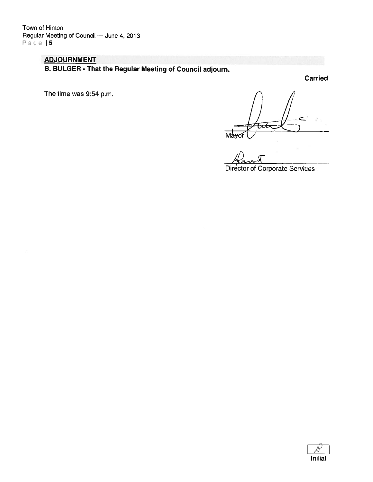Town of Hinton Regular Meeting of Council — June 4, 2013 Page 15

# ADJOURNMENT

B. BULGER - That the Regular Meeting of Council adjourn.

Carried

The time was 9:54 p.m.

⋤⋥⋥  $M<sub>dy</sub>$ 

Director of Corporate Services